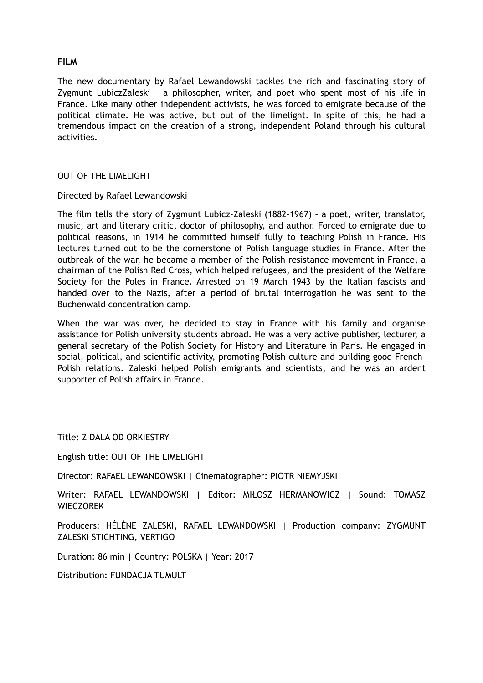# **FILM**

The new documentary by Rafael Lewandowski tackles the rich and fascinating story of Zygmunt LubiczZaleski – a philosopher, writer, and poet who spent most of his life in France. Like many other independent activists, he was forced to emigrate because of the political climate. He was active, but out of the limelight. In spite of this, he had a tremendous impact on the creation of a strong, independent Poland through his cultural activities.

## OUT OF THE LIMELIGHT

#### Directed by Rafael Lewandowski

The film tells the story of Zygmunt Lubicz-Zaleski (1882–1967) – a poet, writer, translator, music, art and literary critic, doctor of philosophy, and author. Forced to emigrate due to political reasons, in 1914 he committed himself fully to teaching Polish in France. His lectures turned out to be the cornerstone of Polish language studies in France. After the outbreak of the war, he became a member of the Polish resistance movement in France, a chairman of the Polish Red Cross, which helped refugees, and the president of the Welfare Society for the Poles in France. Arrested on 19 March 1943 by the Italian fascists and handed over to the Nazis, after a period of brutal interrogation he was sent to the Buchenwald concentration camp.

When the war was over, he decided to stay in France with his family and organise assistance for Polish university students abroad. He was a very active publisher, lecturer, a general secretary of the Polish Society for History and Literature in Paris. He engaged in social, political, and scientific activity, promoting Polish culture and building good French– Polish relations. Zaleski helped Polish emigrants and scientists, and he was an ardent supporter of Polish affairs in France.

Title: Z DALA OD ORKIESTRY

English title: OUT OF THE LIMELIGHT

Director: RAFAEL LEWANDOWSKI | Cinematographer: PIOTR NIEMYJSKI

Writer: RAFAEL LEWANDOWSKI | Editor: MIŁOSZ HERMANOWICZ | Sound: TOMASZ WIECZOREK

Producers: HÉLÈNE ZALESKI, RAFAEL LEWANDOWSKI | Production company: ZYGMUNT ZALESKI STICHTING, VERTIGO

Duration: 86 min | Country: POLSKA | Year: 2017

Distribution: FUNDACJA TUMULT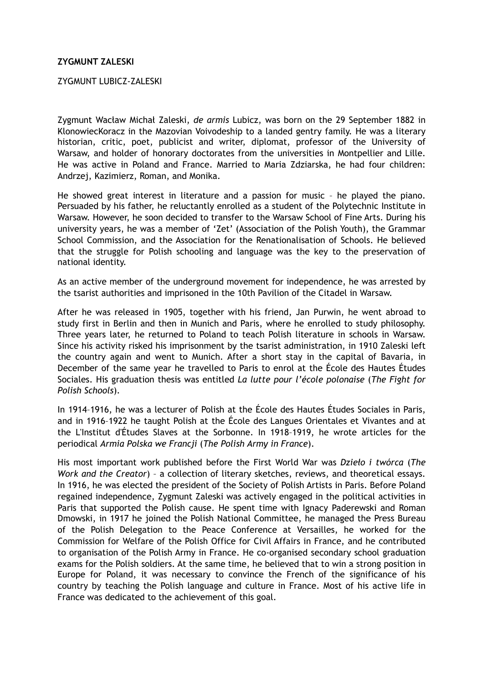## **ZYGMUNT ZALESKI**

### ZYGMUNT LUBICZ-ZALESKI

Zygmunt Wacław Michał Zaleski, *de armis* Lubicz, was born on the 29 September 1882 in KlonowiecKoracz in the Mazovian Voivodeship to a landed gentry family. He was a literary historian, critic, poet, publicist and writer, diplomat, professor of the University of Warsaw, and holder of honorary doctorates from the universities in Montpellier and Lille. He was active in Poland and France. Married to Maria Zdziarska, he had four children: Andrzej, Kazimierz, Roman, and Monika.

He showed great interest in literature and a passion for music – he played the piano. Persuaded by his father, he reluctantly enrolled as a student of the Polytechnic Institute in Warsaw. However, he soon decided to transfer to the Warsaw School of Fine Arts. During his university years, he was a member of 'Zet' (Association of the Polish Youth), the Grammar School Commission, and the Association for the Renationalisation of Schools. He believed that the struggle for Polish schooling and language was the key to the preservation of national identity.

As an active member of the underground movement for independence, he was arrested by the tsarist authorities and imprisoned in the 10th Pavilion of the Citadel in Warsaw.

After he was released in 1905, together with his friend, Jan Purwin, he went abroad to study first in Berlin and then in Munich and Paris, where he enrolled to study philosophy. Three years later, he returned to Poland to teach Polish literature in schools in Warsaw. Since his activity risked his imprisonment by the tsarist administration, in 1910 Zaleski left the country again and went to Munich. After a short stay in the capital of Bavaria, in December of the same year he travelled to Paris to enrol at the École des Hautes Études Sociales. His graduation thesis was entitled *La lutte pour l'école polonaise* (*The Fight for Polish Schools*).

In 1914–1916, he was a lecturer of Polish at the École des Hautes Études Sociales in Paris, and in 1916–1922 he taught Polish at the École des Langues Orientales et Vivantes and at the L'Institut d'Études Slaves at the Sorbonne. In 1918–1919, he wrote articles for the periodical *Armia Polska we Francji* (*The Polish Army in France*).

His most important work published before the First World War was *Dzieło i twórca* (*The Work and the Creator*) – a collection of literary sketches, reviews, and theoretical essays. In 1916, he was elected the president of the Society of Polish Artists in Paris. Before Poland regained independence, Zygmunt Zaleski was actively engaged in the political activities in Paris that supported the Polish cause. He spent time with Ignacy Paderewski and Roman Dmowski, in 1917 he joined the Polish National Committee, he managed the Press Bureau of the Polish Delegation to the Peace Conference at Versailles, he worked for the Commission for Welfare of the Polish Office for Civil Affairs in France, and he contributed to organisation of the Polish Army in France. He co-organised secondary school graduation exams for the Polish soldiers. At the same time, he believed that to win a strong position in Europe for Poland, it was necessary to convince the French of the significance of his country by teaching the Polish language and culture in France. Most of his active life in France was dedicated to the achievement of this goal.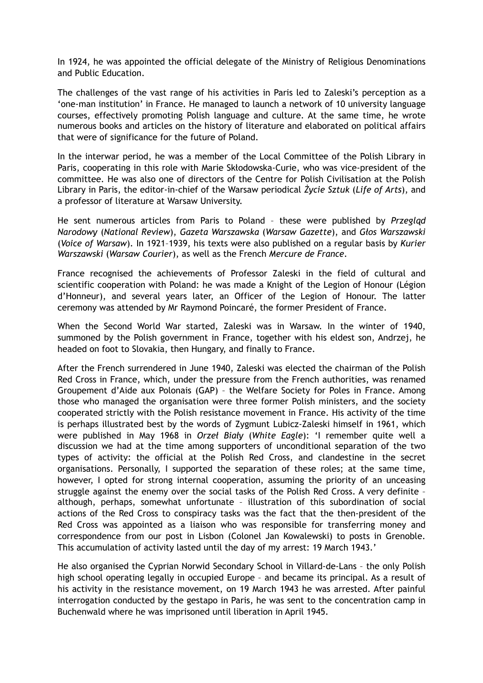In 1924, he was appointed the official delegate of the Ministry of Religious Denominations and Public Education.

The challenges of the vast range of his activities in Paris led to Zaleski's perception as a 'one-man institution' in France. He managed to launch a network of 10 university language courses, effectively promoting Polish language and culture. At the same time, he wrote numerous books and articles on the history of literature and elaborated on political affairs that were of significance for the future of Poland.

In the interwar period, he was a member of the Local Committee of the Polish Library in Paris, cooperating in this role with Marie Skłodowska-Curie, who was vice-president of the committee. He was also one of directors of the Centre for Polish Civilisation at the Polish Library in Paris, the editor-in-chief of the Warsaw periodical *Życie Sztuk* (*Life of Arts*), and a professor of literature at Warsaw University.

He sent numerous articles from Paris to Poland – these were published by *Przegląd Narodowy* (*National Review*), *Gazeta Warszawska* (*Warsaw Gazette*), and *Głos Warszawski* (*Voice of Warsaw*). In 1921–1939, his texts were also published on a regular basis by *Kurier Warszawski* (*Warsaw Courier*), as well as the French *Mercure de France*.

France recognised the achievements of Professor Zaleski in the field of cultural and scientific cooperation with Poland: he was made a Knight of the Legion of Honour (Légion d'Honneur), and several years later, an Officer of the Legion of Honour. The latter ceremony was attended by Mr Raymond Poincaré, the former President of France.

When the Second World War started, Zaleski was in Warsaw. In the winter of 1940, summoned by the Polish government in France, together with his eldest son, Andrzej, he headed on foot to Slovakia, then Hungary, and finally to France.

After the French surrendered in June 1940, Zaleski was elected the chairman of the Polish Red Cross in France, which, under the pressure from the French authorities, was renamed Groupement d'Aide aux Polonais (GAP) – the Welfare Society for Poles in France. Among those who managed the organisation were three former Polish ministers, and the society cooperated strictly with the Polish resistance movement in France. His activity of the time is perhaps illustrated best by the words of Zygmunt Lubicz-Zaleski himself in 1961, which were published in May 1968 in *Orzeł Biały* (*White Eagle*): 'I remember quite well a discussion we had at the time among supporters of unconditional separation of the two types of activity: the official at the Polish Red Cross, and clandestine in the secret organisations. Personally, I supported the separation of these roles; at the same time, however, I opted for strong internal cooperation, assuming the priority of an unceasing struggle against the enemy over the social tasks of the Polish Red Cross. A very definite – although, perhaps, somewhat unfortunate – illustration of this subordination of social actions of the Red Cross to conspiracy tasks was the fact that the then-president of the Red Cross was appointed as a liaison who was responsible for transferring money and correspondence from our post in Lisbon (Colonel Jan Kowalewski) to posts in Grenoble. This accumulation of activity lasted until the day of my arrest: 19 March 1943.'

He also organised the Cyprian Norwid Secondary School in Villard-de-Lans – the only Polish high school operating legally in occupied Europe – and became its principal. As a result of his activity in the resistance movement, on 19 March 1943 he was arrested. After painful interrogation conducted by the gestapo in Paris, he was sent to the concentration camp in Buchenwald where he was imprisoned until liberation in April 1945.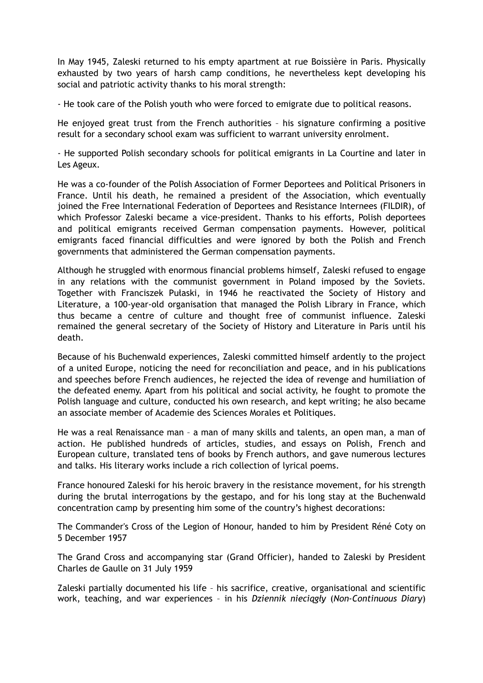In May 1945, Zaleski returned to his empty apartment at rue Boissière in Paris. Physically exhausted by two years of harsh camp conditions, he nevertheless kept developing his social and patriotic activity thanks to his moral strength:

- He took care of the Polish youth who were forced to emigrate due to political reasons.

He enjoyed great trust from the French authorities – his signature confirming a positive result for a secondary school exam was sufficient to warrant university enrolment.

- He supported Polish secondary schools for political emigrants in La Courtine and later in Les Ageux.

He was a co-founder of the Polish Association of Former Deportees and Political Prisoners in France. Until his death, he remained a president of the Association, which eventually joined the Free International Federation of Deportees and Resistance Internees (FILDIR), of which Professor Zaleski became a vice-president. Thanks to his efforts, Polish deportees and political emigrants received German compensation payments. However, political emigrants faced financial difficulties and were ignored by both the Polish and French governments that administered the German compensation payments.

Although he struggled with enormous financial problems himself, Zaleski refused to engage in any relations with the communist government in Poland imposed by the Soviets. Together with Franciszek Pułaski, in 1946 he reactivated the Society of History and Literature, a 100-year-old organisation that managed the Polish Library in France, which thus became a centre of culture and thought free of communist influence. Zaleski remained the general secretary of the Society of History and Literature in Paris until his death.

Because of his Buchenwald experiences, Zaleski committed himself ardently to the project of a united Europe, noticing the need for reconciliation and peace, and in his publications and speeches before French audiences, he rejected the idea of revenge and humiliation of the defeated enemy. Apart from his political and social activity, he fought to promote the Polish language and culture, conducted his own research, and kept writing; he also became an associate member of Academie des Sciences Morales et Politiques.

He was a real Renaissance man – a man of many skills and talents, an open man, a man of action. He published hundreds of articles, studies, and essays on Polish, French and European culture, translated tens of books by French authors, and gave numerous lectures and talks. His literary works include a rich collection of lyrical poems.

France honoured Zaleski for his heroic bravery in the resistance movement, for his strength during the brutal interrogations by the gestapo, and for his long stay at the Buchenwald concentration camp by presenting him some of the country's highest decorations:

The Commander's Cross of the Legion of Honour, handed to him by President Réné Coty on 5 December 1957

The Grand Cross and accompanying star (Grand Officier), handed to Zaleski by President Charles de Gaulle on 31 July 1959

Zaleski partially documented his life – his sacrifice, creative, organisational and scientific work, teaching, and war experiences – in his *Dziennik nieciągły* (*Non-Continuous Diary*)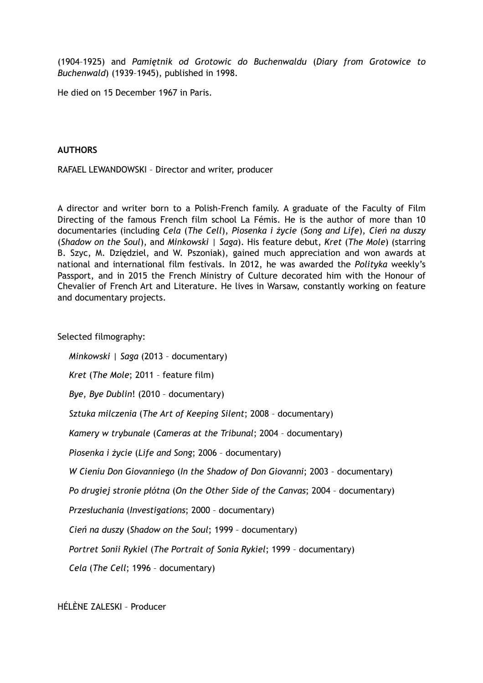(1904–1925) and *Pamiętnik od Grotowic do Buchenwaldu* (*Diary from Grotowice to Buchenwald*) (1939–1945), published in 1998.

He died on 15 December 1967 in Paris.

### **AUTHORS**

RAFAEL LEWANDOWSKI – Director and writer, producer

A director and writer born to a Polish-French family. A graduate of the Faculty of Film Directing of the famous French film school La Fémis. He is the author of more than 10 documentaries (including *Cela* (*The Cell*), *Piosenka i życie* (*Song and Life*), *Cień na duszy* (*Shadow on the Soul*), and *Minkowski | Saga*). His feature debut, *Kret* (*The Mole*) (starring B. Szyc, M. Dziędziel, and W. Pszoniak), gained much appreciation and won awards at national and international film festivals. In 2012, he was awarded the *Polityka* weekly's Passport, and in 2015 the French Ministry of Culture decorated him with the Honour of Chevalier of French Art and Literature. He lives in Warsaw, constantly working on feature and documentary projects.

Selected filmography:

*Minkowski | Saga* (2013 – documentary) *Kret* (*The Mole*; 2011 – feature film) *Bye, Bye Dublin*! (2010 – documentary) *Sztuka milczenia* (*The Art of Keeping Silent*; 2008 – documentary) *Kamery w trybunale* (*Cameras at the Tribunal*; 2004 – documentary) *Piosenka i życie* (*Life and Song*; 2006 – documentary) *W Cieniu Don Giovanniego* (*In the Shadow of Don Giovanni*; 2003 – documentary) *Po drugiej stronie płótna* (*On the Other Side of the Canvas*; 2004 – documentary) *Przesłuchania* (*Investigations*; 2000 – documentary) *Cień na duszy* (*Shadow on the Soul*; 1999 – documentary) *Portret Sonii Rykiel* (*The Portrait of Sonia Rykiel*; 1999 – documentary) *Cela* (*The Cell*; 1996 – documentary)

HÉLÈNE ZALESKI – Producer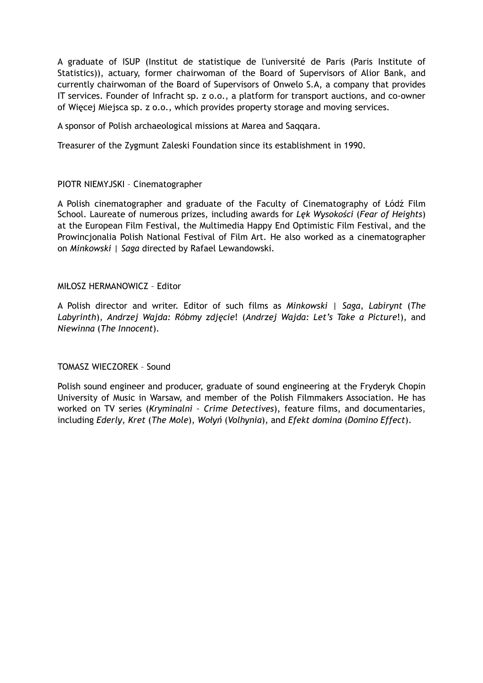A graduate of ISUP (Institut de statistique de l'université de Paris (Paris Institute of Statistics)), actuary, former chairwoman of the Board of Supervisors of Alior Bank, and currently chairwoman of the Board of Supervisors of Onwelo S.A, a company that provides IT services. Founder of Infracht sp. z o.o., a platform for transport auctions, and co-owner of Więcej Miejsca sp. z o.o., which provides property storage and moving services.

A sponsor of Polish archaeological missions at Marea and Saqqara.

Treasurer of the Zygmunt Zaleski Foundation since its establishment in 1990.

# PIOTR NIEMYJSKI – Cinematographer

A Polish cinematographer and graduate of the Faculty of Cinematography of Łódź Film School. Laureate of numerous prizes, including awards for *Lęk Wysokości* (*Fear of Heights*) at the European Film Festival, the Multimedia Happy End Optimistic Film Festival, and the Prowincjonalia Polish National Festival of Film Art. He also worked as a cinematographer on *Minkowski | Saga* directed by Rafael Lewandowski.

### MIŁOSZ HERMANOWICZ – Editor

A Polish director and writer. Editor of such films as *Minkowski | Saga*, *Labirynt* (*The Labyrinth*), *Andrzej Wajda: Róbmy zdjęcie*! (*Andrzej Wajda: Let's Take a Picture*!), and *Niewinna* (*The Innocent*).

# TOMASZ WIECZOREK – Sound

Polish sound engineer and producer, graduate of sound engineering at the Fryderyk Chopin University of Music in Warsaw, and member of the Polish Filmmakers Association. He has worked on TV series (*Kryminalni – Crime Detectives*), feature films, and documentaries, including *Ederly*, *Kret* (*The Mole*), *Wołyń* (*Volhynia*), and *Efekt domina* (*Domino Effect*).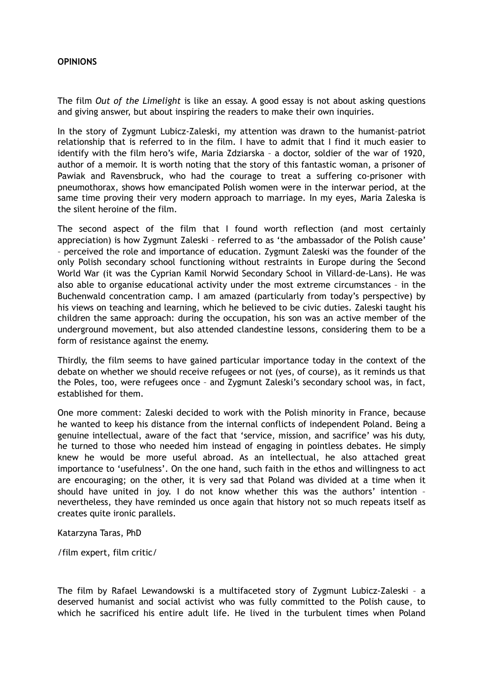## **OPINIONS**

The film *Out of the Limelight* is like an essay. A good essay is not about asking questions and giving answer, but about inspiring the readers to make their own inquiries.

In the story of Zygmunt Lubicz-Zaleski, my attention was drawn to the humanist–patriot relationship that is referred to in the film. I have to admit that I find it much easier to identify with the film hero's wife, Maria Zdziarska – a doctor, soldier of the war of 1920, author of a memoir. It is worth noting that the story of this fantastic woman, a prisoner of Pawiak and Ravensbruck, who had the courage to treat a suffering co-prisoner with pneumothorax, shows how emancipated Polish women were in the interwar period, at the same time proving their very modern approach to marriage. In my eyes, Maria Zaleska is the silent heroine of the film.

The second aspect of the film that I found worth reflection (and most certainly appreciation) is how Zygmunt Zaleski – referred to as 'the ambassador of the Polish cause' – perceived the role and importance of education. Zygmunt Zaleski was the founder of the only Polish secondary school functioning without restraints in Europe during the Second World War (it was the Cyprian Kamil Norwid Secondary School in Villard-de-Lans). He was also able to organise educational activity under the most extreme circumstances – in the Buchenwald concentration camp. I am amazed (particularly from today's perspective) by his views on teaching and learning, which he believed to be civic duties. Zaleski taught his children the same approach: during the occupation, his son was an active member of the underground movement, but also attended clandestine lessons, considering them to be a form of resistance against the enemy.

Thirdly, the film seems to have gained particular importance today in the context of the debate on whether we should receive refugees or not (yes, of course), as it reminds us that the Poles, too, were refugees once – and Zygmunt Zaleski's secondary school was, in fact, established for them.

One more comment: Zaleski decided to work with the Polish minority in France, because he wanted to keep his distance from the internal conflicts of independent Poland. Being a genuine intellectual, aware of the fact that 'service, mission, and sacrifice' was his duty, he turned to those who needed him instead of engaging in pointless debates. He simply knew he would be more useful abroad. As an intellectual, he also attached great importance to 'usefulness'. On the one hand, such faith in the ethos and willingness to act are encouraging; on the other, it is very sad that Poland was divided at a time when it should have united in joy. I do not know whether this was the authors' intention – nevertheless, they have reminded us once again that history not so much repeats itself as creates quite ironic parallels.

Katarzyna Taras, PhD

/film expert, film critic/

The film by Rafael Lewandowski is a multifaceted story of Zygmunt Lubicz-Zaleski – a deserved humanist and social activist who was fully committed to the Polish cause, to which he sacrificed his entire adult life. He lived in the turbulent times when Poland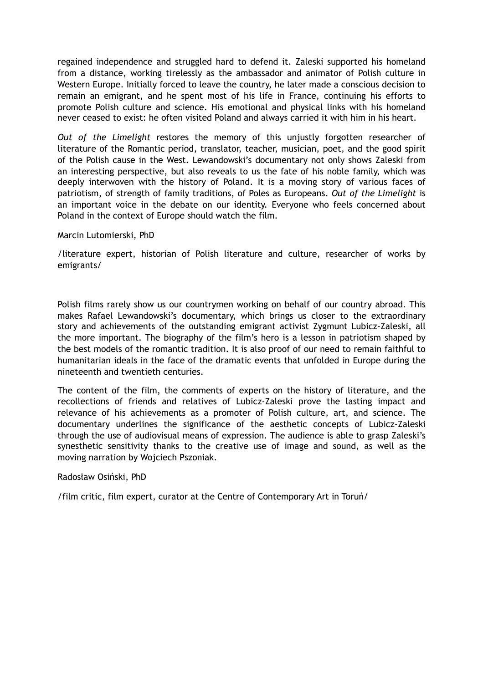regained independence and struggled hard to defend it. Zaleski supported his homeland from a distance, working tirelessly as the ambassador and animator of Polish culture in Western Europe. Initially forced to leave the country, he later made a conscious decision to remain an emigrant, and he spent most of his life in France, continuing his efforts to promote Polish culture and science. His emotional and physical links with his homeland never ceased to exist: he often visited Poland and always carried it with him in his heart.

*Out of the Limelight* restores the memory of this unjustly forgotten researcher of literature of the Romantic period, translator, teacher, musician, poet, and the good spirit of the Polish cause in the West. Lewandowski's documentary not only shows Zaleski from an interesting perspective, but also reveals to us the fate of his noble family, which was deeply interwoven with the history of Poland. It is a moving story of various faces of patriotism, of strength of family traditions, of Poles as Europeans. *Out of the Limelight* is an important voice in the debate on our identity. Everyone who feels concerned about Poland in the context of Europe should watch the film.

Marcin Lutomierski, PhD

/literature expert, historian of Polish literature and culture, researcher of works by emigrants/

Polish films rarely show us our countrymen working on behalf of our country abroad. This makes Rafael Lewandowski's documentary, which brings us closer to the extraordinary story and achievements of the outstanding emigrant activist Zygmunt Lubicz-Zaleski, all the more important. The biography of the film's hero is a lesson in patriotism shaped by the best models of the romantic tradition. It is also proof of our need to remain faithful to humanitarian ideals in the face of the dramatic events that unfolded in Europe during the nineteenth and twentieth centuries.

The content of the film, the comments of experts on the history of literature, and the recollections of friends and relatives of Lubicz-Zaleski prove the lasting impact and relevance of his achievements as a promoter of Polish culture, art, and science. The documentary underlines the significance of the aesthetic concepts of Lubicz-Zaleski through the use of audiovisual means of expression. The audience is able to grasp Zaleski's synesthetic sensitivity thanks to the creative use of image and sound, as well as the moving narration by Wojciech Pszoniak.

# Radosław Osiński, PhD

/film critic, film expert, curator at the Centre of Contemporary Art in Toruń/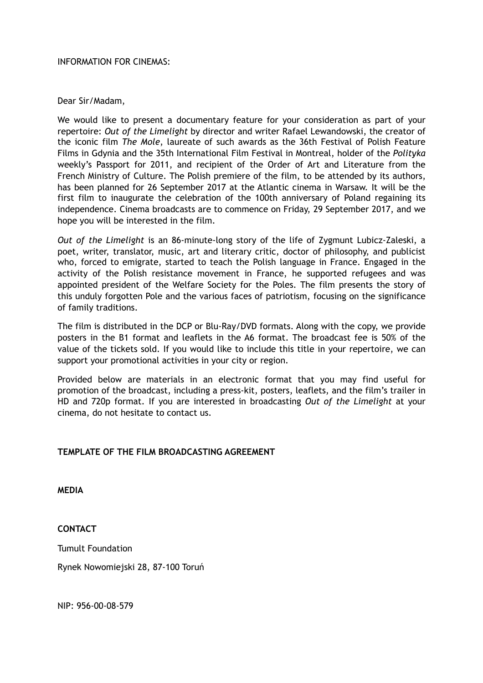### INFORMATION FOR CINEMAS:

## Dear Sir/Madam,

We would like to present a documentary feature for your consideration as part of your repertoire: *Out of the Limelight* by director and writer Rafael Lewandowski, the creator of the iconic film *The Mole*, laureate of such awards as the 36th Festival of Polish Feature Films in Gdynia and the 35th International Film Festival in Montreal, holder of the *Polityka*  weekly's Passport for 2011, and recipient of the Order of Art and Literature from the French Ministry of Culture. The Polish premiere of the film, to be attended by its authors, has been planned for 26 September 2017 at the Atlantic cinema in Warsaw. It will be the first film to inaugurate the celebration of the 100th anniversary of Poland regaining its independence. Cinema broadcasts are to commence on Friday, 29 September 2017, and we hope you will be interested in the film.

*Out of the Limelight* is an 86-minute-long story of the life of Zygmunt Lubicz-Zaleski, a poet, writer, translator, music, art and literary critic, doctor of philosophy, and publicist who, forced to emigrate, started to teach the Polish language in France. Engaged in the activity of the Polish resistance movement in France, he supported refugees and was appointed president of the Welfare Society for the Poles. The film presents the story of this unduly forgotten Pole and the various faces of patriotism, focusing on the significance of family traditions.

The film is distributed in the DCP or Blu-Ray/DVD formats. Along with the copy, we provide posters in the B1 format and leaflets in the A6 format. The broadcast fee is 50% of the value of the tickets sold. If you would like to include this title in your repertoire, we can support your promotional activities in your city or region.

Provided below are materials in an electronic format that you may find useful for promotion of the broadcast, including a press-kit, posters, leaflets, and the film's trailer in HD and 720p format. If you are interested in broadcasting *Out of the Limelight* at your cinema, do not hesitate to contact us.

# **TEMPLATE OF THE FILM BROADCASTING AGREEMENT**

**MEDIA**

**CONTACT**

Tumult Foundation

Rynek Nowomiejski 28, 87-100 Toruń

NIP: 956-00-08-579